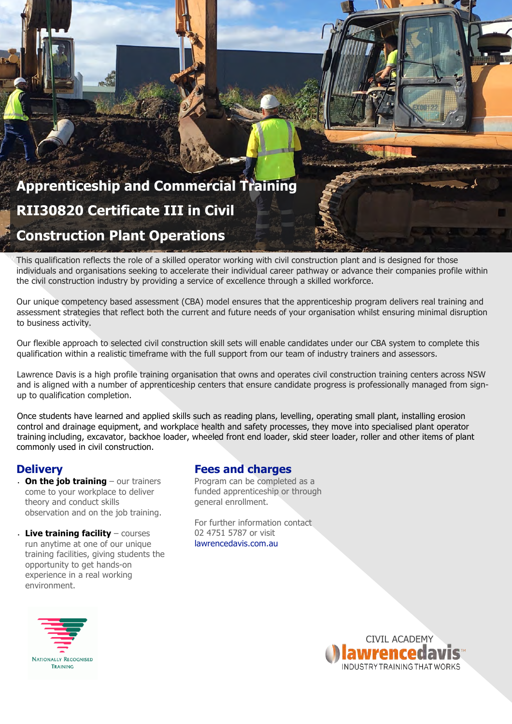# **Apprenticeship and Commercial Training RII30820 Certificate III in Civil Construction Plant Operations**

W This qualification reflects the role of a skilled operator working with civil construction plant and is designed for those **Plant Operations**individuals and organisations seeking to accelerate their individual career pathway or advance their companies profile within the civil construction industry by providing a service of excellence through a skilled workforce.

Our unique competency based assessment (CBA) model ensures that the apprenticeship program delivers real training and assessment strategies that reflect both the current and future needs of your organisation whilst ensuring minimal disruption to business activity.

Our flexible approach to selected civil construction skill sets will enable candidates under our CBA system to complete this qualification within a realistic timeframe with the full support from our team of industry trainers and assessors.

Lawrence Davis is a high profile training organisation that owns and operates civil construction training centers across NSW and is aligned with a number of apprenticeship centers that ensure candidate progress is professionally managed from signup to qualification completion.

Once students have learned and applied skills such as reading plans, levelling, operating small plant, installing erosion control and drainage equipment, and workplace health and safety processes, they move into specialised plant operator training including, excavator, backhoe loader, wheeled front end loader, skid steer loader, roller and other items of plant commonly used in civil construction.

### **Delivery**

• **On the job training** – our trainers come to your workplace to deliver theory and conduct skills observation and on the job training.

• **Live training facility** – courses run anytime at one of our unique training facilities, giving students the opportunity to get hands-on experience in a real working environment.

#### **Fees and charges**

Program can be completed as a funded apprenticeship or through general enrollment.

For further information contact 02 4751 5787 or visit lawrencedavis.com.au